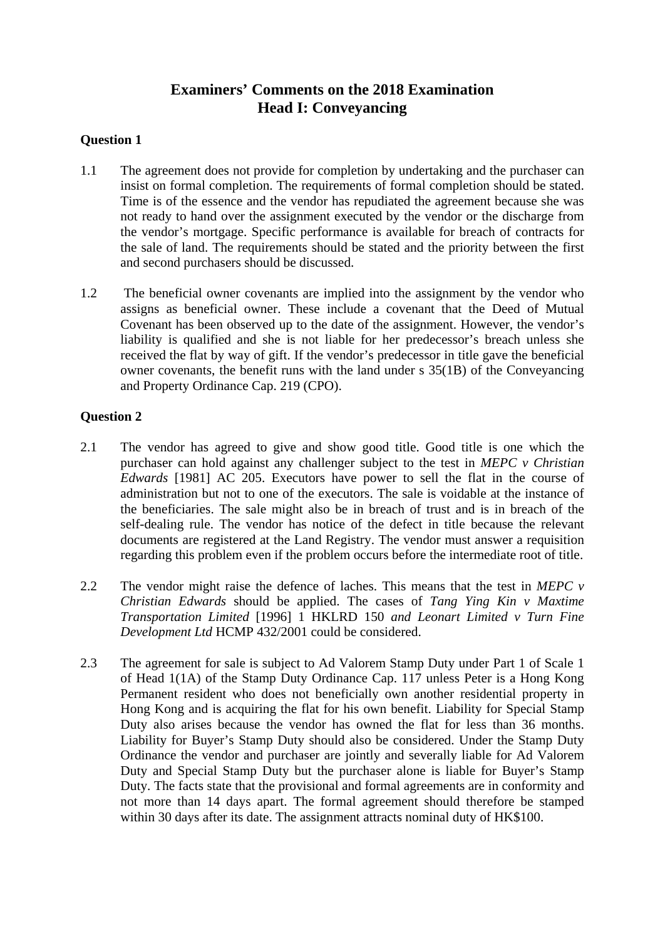# **Examiners' Comments on the 2018 Examination Head I: Conveyancing**

### **Question 1**

- 1.1 The agreement does not provide for completion by undertaking and the purchaser can insist on formal completion. The requirements of formal completion should be stated. Time is of the essence and the vendor has repudiated the agreement because she was not ready to hand over the assignment executed by the vendor or the discharge from the vendor's mortgage. Specific performance is available for breach of contracts for the sale of land. The requirements should be stated and the priority between the first and second purchasers should be discussed.
- 1.2 The beneficial owner covenants are implied into the assignment by the vendor who assigns as beneficial owner. These include a covenant that the Deed of Mutual Covenant has been observed up to the date of the assignment. However, the vendor's liability is qualified and she is not liable for her predecessor's breach unless she received the flat by way of gift. If the vendor's predecessor in title gave the beneficial owner covenants, the benefit runs with the land under s 35(1B) of the Conveyancing and Property Ordinance Cap. 219 (CPO).

### **Question 2**

- 2.1 The vendor has agreed to give and show good title. Good title is one which the purchaser can hold against any challenger subject to the test in *MEPC v Christian Edwards* [1981] AC 205. Executors have power to sell the flat in the course of administration but not to one of the executors. The sale is voidable at the instance of the beneficiaries. The sale might also be in breach of trust and is in breach of the self-dealing rule. The vendor has notice of the defect in title because the relevant documents are registered at the Land Registry. The vendor must answer a requisition regarding this problem even if the problem occurs before the intermediate root of title.
- 2.2 The vendor might raise the defence of laches. This means that the test in *MEPC v Christian Edwards* should be applied. The cases of *Tang Ying Kin v Maxtime Transportation Limited* [1996] 1 HKLRD 150 *and Leonart Limited v Turn Fine Development Ltd* HCMP 432/2001 could be considered.
- 2.3 The agreement for sale is subject to Ad Valorem Stamp Duty under Part 1 of Scale 1 of Head 1(1A) of the Stamp Duty Ordinance Cap. 117 unless Peter is a Hong Kong Permanent resident who does not beneficially own another residential property in Hong Kong and is acquiring the flat for his own benefit. Liability for Special Stamp Duty also arises because the vendor has owned the flat for less than 36 months. Liability for Buyer's Stamp Duty should also be considered. Under the Stamp Duty Ordinance the vendor and purchaser are jointly and severally liable for Ad Valorem Duty and Special Stamp Duty but the purchaser alone is liable for Buyer's Stamp Duty. The facts state that the provisional and formal agreements are in conformity and not more than 14 days apart. The formal agreement should therefore be stamped within 30 days after its date. The assignment attracts nominal duty of HK\$100.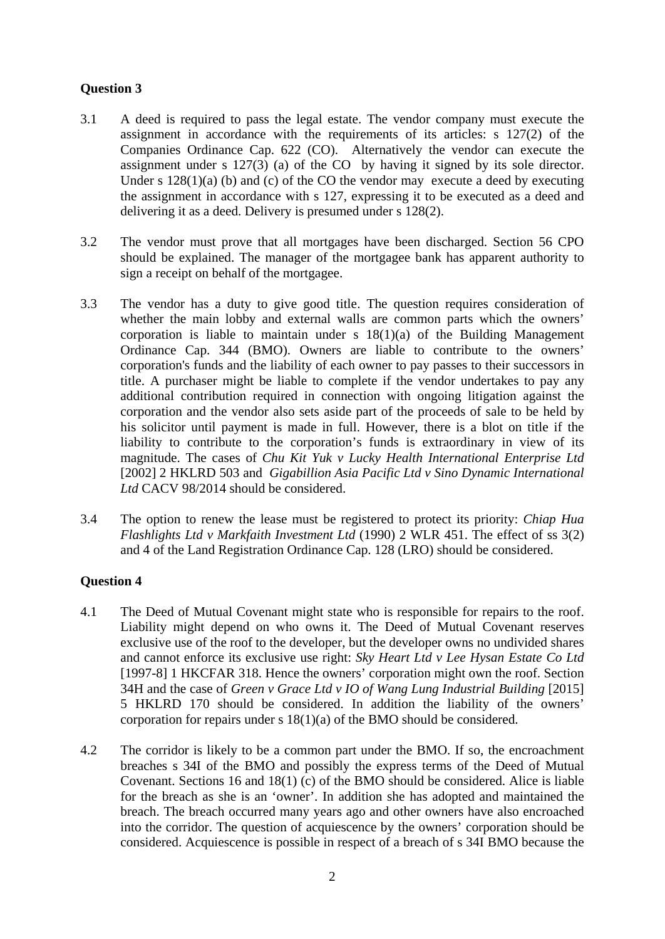## **Question 3**

- 3.1 A deed is required to pass the legal estate. The vendor company must execute the assignment in accordance with the requirements of its articles: s 127(2) of the Companies Ordinance Cap. 622 (CO). Alternatively the vendor can execute the assignment under s  $127(3)$  (a) of the CO by having it signed by its sole director. Under s  $128(1)(a)$  (b) and (c) of the CO the vendor may execute a deed by executing the assignment in accordance with s 127, expressing it to be executed as a deed and delivering it as a deed. Delivery is presumed under s 128(2).
- 3.2 The vendor must prove that all mortgages have been discharged. Section 56 CPO should be explained. The manager of the mortgagee bank has apparent authority to sign a receipt on behalf of the mortgagee.
- 3.3 The vendor has a duty to give good title. The question requires consideration of whether the main lobby and external walls are common parts which the owners' corporation is liable to maintain under  $s \frac{18(1)(a)}{2}$  of the Building Management Ordinance Cap. 344 (BMO). Owners are liable to contribute to the owners' corporation's funds and the liability of each owner to pay passes to their successors in title. A purchaser might be liable to complete if the vendor undertakes to pay any additional contribution required in connection with ongoing litigation against the corporation and the vendor also sets aside part of the proceeds of sale to be held by his solicitor until payment is made in full. However, there is a blot on title if the liability to contribute to the corporation's funds is extraordinary in view of its magnitude. The cases of *Chu Kit Yuk v Lucky Health International Enterprise Ltd* [2002] 2 HKLRD 503 and *Gigabillion Asia Pacific Ltd v Sino Dynamic International Ltd* CACV 98/2014 should be considered.
- 3.4 The option to renew the lease must be registered to protect its priority: *Chiap Hua Flashlights Ltd v Markfaith Investment Ltd* (1990) 2 WLR 451. The effect of ss 3(2) and 4 of the Land Registration Ordinance Cap. 128 (LRO) should be considered.

### **Question 4**

- 4.1 The Deed of Mutual Covenant might state who is responsible for repairs to the roof. Liability might depend on who owns it. The Deed of Mutual Covenant reserves exclusive use of the roof to the developer, but the developer owns no undivided shares and cannot enforce its exclusive use right: *Sky Heart Ltd v Lee Hysan Estate Co Ltd*  [1997-8] 1 HKCFAR 318. Hence the owners' corporation might own the roof. Section 34H and the case of *Green v Grace Ltd v IO of Wang Lung Industrial Building* [2015] 5 HKLRD 170 should be considered. In addition the liability of the owners' corporation for repairs under s 18(1)(a) of the BMO should be considered.
- 4.2 The corridor is likely to be a common part under the BMO. If so, the encroachment breaches s 34I of the BMO and possibly the express terms of the Deed of Mutual Covenant. Sections 16 and 18(1) (c) of the BMO should be considered. Alice is liable for the breach as she is an 'owner'. In addition she has adopted and maintained the breach. The breach occurred many years ago and other owners have also encroached into the corridor. The question of acquiescence by the owners' corporation should be considered. Acquiescence is possible in respect of a breach of s 34I BMO because the